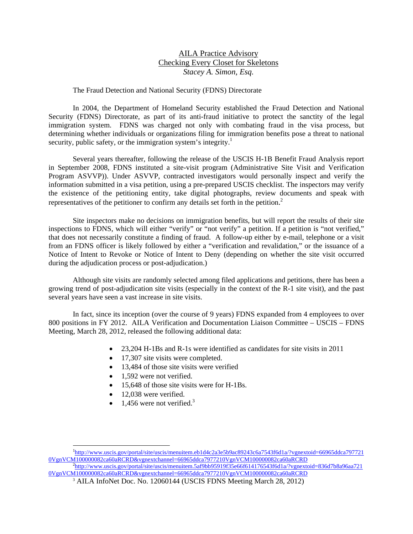# AILA Practice Advisory Checking Every Closet for Skeletons *Stacey A. Simon, Esq.*

### The Fraud Detection and National Security (FDNS) Directorate

In 2004, the Department of Homeland Security established the Fraud Detection and National Security (FDNS) Directorate, as part of its anti-fraud initiative to protect the sanctity of the legal immigration system. FDNS was charged not only with combating fraud in the visa process, but determining whether individuals or organizations filing for immigration benefits pose a threat to national security, public safety, or the immigration system's integrity.<sup>1</sup>

Several years thereafter, following the release of the USCIS H-1B Benefit Fraud Analysis report in September 2008, FDNS instituted a site-visit program (Administrative Site Visit and Verification Program ASVVP)). Under ASVVP, contracted investigators would personally inspect and verify the information submitted in a visa petition, using a pre-prepared USCIS checklist. The inspectors may verify the existence of the petitioning entity, take digital photographs, review documents and speak with representatives of the petitioner to confirm any details set forth in the petition. 2

Site inspectors make no decisions on immigration benefits, but will report the results of their site inspections to FDNS, which will either "verify" or "not verify" a petition. If a petition is "not verified," that does not necessarily constitute a finding of fraud. A follow-up either by e-mail, telephone or a visit from an FDNS officer is likely followed by either a "verification and revalidation," or the issuance of a Notice of Intent to Revoke or Notice of Intent to Deny (depending on whether the site visit occurred during the adjudication process or post-adjudication.)

Although site visits are randomly selected among filed applications and petitions, there has been a growing trend of post-adjudication site visits (especially in the context of the R-1 site visit), and the past several years have seen a vast increase in site visits.

In fact, since its inception (over the course of 9 years) FDNS expanded from 4 employees to over 800 positions in FY 2012. AILA Verification and Documentation Liaison Committee – USCIS – FDNS Meeting, March 28, 2012, released the following additional data:

- 23,204 H-1Bs and R-1s were identified as candidates for site visits in 2011
- 17,307 site visits were completed.
- 13,484 of those site visits were verified
- 1.592 were not verified.
- 15,648 of those site visits were for H-1Bs.
- 12,038 were verified.

l

 $\bullet$  1,456 were not verified.<sup>3</sup>

<sup>1</sup> http://www.uscis.gov/portal/site/uscis/menuitem.eb1d4c2a3e5b9ac89243c6a7543f6d1a/?vgnextoid=66965ddca797721 0VgnVCM100000082ca60aRCRD&vgnextchannel=66965ddca7977210VgnVCM100000082ca60aRCRD 2 http://www.uscis.gov/portal/site/uscis/menuitem.5af9bb95919f35e66f614176543f6d1a/?vgnextoid=836d7b8a96aa721

<sup>0</sup>VgnVCM100000082ca60aRCRD&vgnextchannel=66965ddca7977210VgnVCM100000082ca60aRCRD

<sup>&</sup>lt;sup>3</sup> AILA InfoNet Doc. No. 12060144 (USCIS FDNS Meeting March 28, 2012)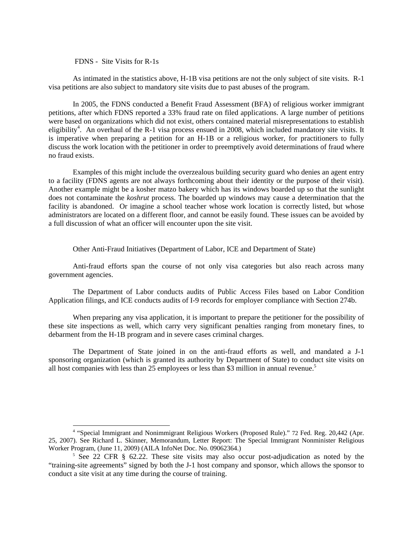FDNS - Site Visits for R-1s

As intimated in the statistics above, H-1B visa petitions are not the only subject of site visits. R-1 visa petitions are also subject to mandatory site visits due to past abuses of the program.

In 2005, the FDNS conducted a Benefit Fraud Assessment (BFA) of religious worker immigrant petitions, after which FDNS reported a 33% fraud rate on filed applications. A large number of petitions were based on organizations which did not exist, others contained material misrepresentations to establish eligibility<sup>4</sup>. An overhaul of the R-1 visa process ensued in 2008, which included mandatory site visits. It is imperative when preparing a petition for an H-1B or a religious worker, for practitioners to fully discuss the work location with the petitioner in order to preemptively avoid determinations of fraud where no fraud exists.

Examples of this might include the overzealous building security guard who denies an agent entry to a facility (FDNS agents are not always forthcoming about their identity or the purpose of their visit). Another example might be a kosher matzo bakery which has its windows boarded up so that the sunlight does not contaminate the *koshrut* process. The boarded up windows may cause a determination that the facility is abandoned. Or imagine a school teacher whose work location is correctly listed, but whose administrators are located on a different floor, and cannot be easily found. These issues can be avoided by a full discussion of what an officer will encounter upon the site visit.

Other Anti-Fraud Initiatives (Department of Labor, ICE and Department of State)

Anti-fraud efforts span the course of not only visa categories but also reach across many government agencies.

The Department of Labor conducts audits of Public Access Files based on Labor Condition Application filings, and ICE conducts audits of I-9 records for employer compliance with Section 274b.

When preparing any visa application, it is important to prepare the petitioner for the possibility of these site inspections as well, which carry very significant penalties ranging from monetary fines, to debarment from the H-1B program and in severe cases criminal charges.

The Department of State joined in on the anti-fraud efforts as well, and mandated a J-1 sponsoring organization (which is granted its authority by Department of State) to conduct site visits on all host companies with less than 25 employees or less than \$3 million in annual revenue.<sup>5</sup>

 4 "Special Immigrant and Nonimmigrant Religious Workers (Proposed Rule)." 72 Fed. Reg. 20,442 (Apr. 25, 2007). See Richard L. Skinner, Memorandum, Letter Report: The Special Immigrant Nonminister Religious Worker Program, (June 11, 2009) (AILA InfoNet Doc. No. 09062364.) 5

 $5$  See 22 CFR § 62.22. These site visits may also occur post-adjudication as noted by the "training-site agreements" signed by both the J-1 host company and sponsor, which allows the sponsor to conduct a site visit at any time during the course of training.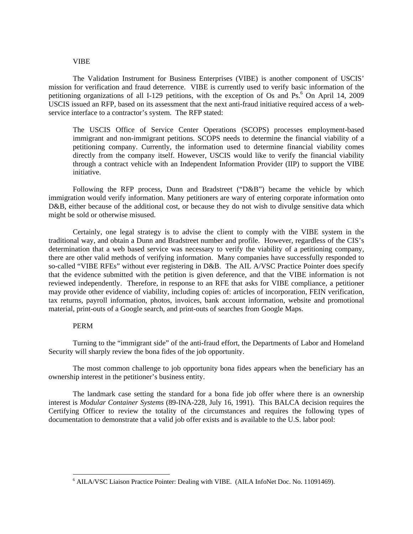### VIBE

The Validation Instrument for Business Enterprises (VIBE) is another component of USCIS' mission for verification and fraud deterrence. VIBE is currently used to verify basic information of the petitioning organizations of all I-129 petitions, with the exception of Os and Ps.<sup>6</sup> On April 14, 2009 USCIS issued an RFP, based on its assessment that the next anti-fraud initiative required access of a webservice interface to a contractor's system. The RFP stated:

The USCIS Office of Service Center Operations (SCOPS) processes employment-based immigrant and non-immigrant petitions. SCOPS needs to determine the financial viability of a petitioning company. Currently, the information used to determine financial viability comes directly from the company itself. However, USCIS would like to verify the financial viability through a contract vehicle with an Independent Information Provider (IIP) to support the VIBE initiative.

Following the RFP process, Dunn and Bradstreet ("D&B") became the vehicle by which immigration would verify information. Many petitioners are wary of entering corporate information onto D&B, either because of the additional cost, or because they do not wish to divulge sensitive data which might be sold or otherwise misused.

Certainly, one legal strategy is to advise the client to comply with the VIBE system in the traditional way, and obtain a Dunn and Bradstreet number and profile. However, regardless of the CIS's determination that a web based service was necessary to verify the viability of a petitioning company, there are other valid methods of verifying information. Many companies have successfully responded to so-called "VIBE RFEs" without ever registering in D&B. The AIL A/VSC Practice Pointer does specify that the evidence submitted with the petition is given deference, and that the VIBE information is not reviewed independently. Therefore, in response to an RFE that asks for VIBE compliance, a petitioner may provide other evidence of viability, including copies of: articles of incorporation, FEIN verification, tax returns, payroll information, photos, invoices, bank account information, website and promotional material, print-outs of a Google search, and print-outs of searches from Google Maps.

#### PERM

1

Turning to the "immigrant side" of the anti-fraud effort, the Departments of Labor and Homeland Security will sharply review the bona fides of the job opportunity.

The most common challenge to job opportunity bona fides appears when the beneficiary has an ownership interest in the petitioner's business entity.

The landmark case setting the standard for a bona fide job offer where there is an ownership interest is *Modular Container Systems* (89-INA-228, July 16, 1991). This BALCA decision requires the Certifying Officer to review the totality of the circumstances and requires the following types of documentation to demonstrate that a valid job offer exists and is available to the U.S. labor pool:

<sup>6</sup> AILA/VSC Liaison Practice Pointer: Dealing with VIBE. (AILA InfoNet Doc. No. 11091469).